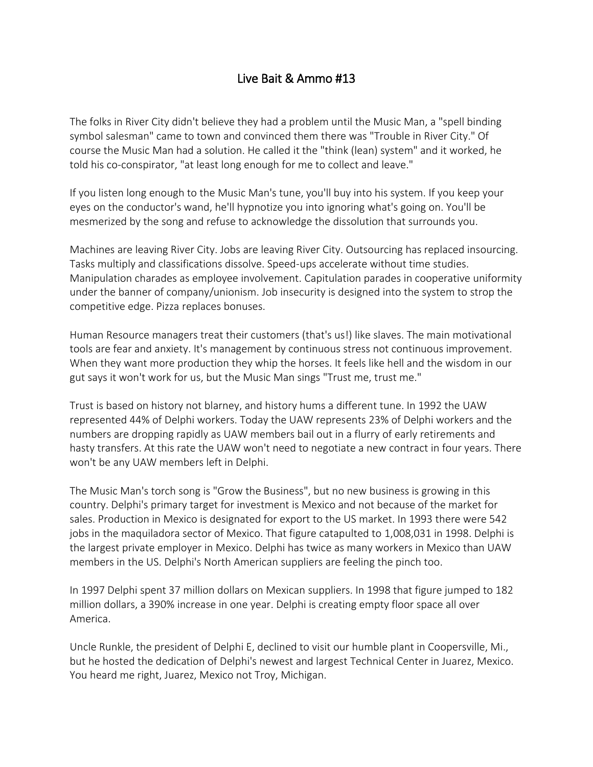## Live Bait & Ammo #13

The folks in River City didn't believe they had a problem until the Music Man, a "spell binding symbol salesman" came to town and convinced them there was "Trouble in River City." Of course the Music Man had a solution. He called it the "think (lean) system" and it worked, he told his co-conspirator, "at least long enough for me to collect and leave."

If you listen long enough to the Music Man's tune, you'll buy into his system. If you keep your eyes on the conductor's wand, he'll hypnotize you into ignoring what's going on. You'll be mesmerized by the song and refuse to acknowledge the dissolution that surrounds you.

Machines are leaving River City. Jobs are leaving River City. Outsourcing has replaced insourcing. Tasks multiply and classifications dissolve. Speed-ups accelerate without time studies. Manipulation charades as employee involvement. Capitulation parades in cooperative uniformity under the banner of company/unionism. Job insecurity is designed into the system to strop the competitive edge. Pizza replaces bonuses.

Human Resource managers treat their customers (that's us!) like slaves. The main motivational tools are fear and anxiety. It's management by continuous stress not continuous improvement. When they want more production they whip the horses. It feels like hell and the wisdom in our gut says it won't work for us, but the Music Man sings "Trust me, trust me."

Trust is based on history not blarney, and history hums a different tune. In 1992 the UAW represented 44% of Delphi workers. Today the UAW represents 23% of Delphi workers and the numbers are dropping rapidly as UAW members bail out in a flurry of early retirements and hasty transfers. At this rate the UAW won't need to negotiate a new contract in four years. There won't be any UAW members left in Delphi.

The Music Man's torch song is "Grow the Business", but no new business is growing in this country. Delphi's primary target for investment is Mexico and not because of the market for sales. Production in Mexico is designated for export to the US market. In 1993 there were 542 jobs in the maquiladora sector of Mexico. That figure catapulted to 1,008,031 in 1998. Delphi is the largest private employer in Mexico. Delphi has twice as many workers in Mexico than UAW members in the US. Delphi's North American suppliers are feeling the pinch too.

In 1997 Delphi spent 37 million dollars on Mexican suppliers. In 1998 that figure jumped to 182 million dollars, a 390% increase in one year. Delphi is creating empty floor space all over America.

Uncle Runkle, the president of Delphi E, declined to visit our humble plant in Coopersville, Mi., but he hosted the dedication of Delphi's newest and largest Technical Center in Juarez, Mexico. You heard me right, Juarez, Mexico not Troy, Michigan.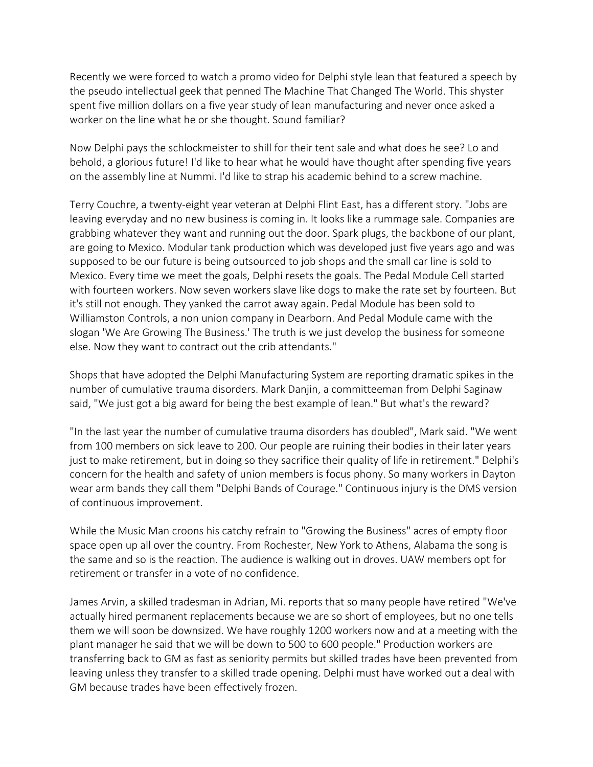Recently we were forced to watch a promo video for Delphi style lean that featured a speech by the pseudo intellectual geek that penned The Machine That Changed The World. This shyster spent five million dollars on a five year study of lean manufacturing and never once asked a worker on the line what he or she thought. Sound familiar?

Now Delphi pays the schlockmeister to shill for their tent sale and what does he see? Lo and behold, a glorious future! I'd like to hear what he would have thought after spending five years on the assembly line at Nummi. I'd like to strap his academic behind to a screw machine.

Terry Couchre, a twenty-eight year veteran at Delphi Flint East, has a different story. "Jobs are leaving everyday and no new business is coming in. It looks like a rummage sale. Companies are grabbing whatever they want and running out the door. Spark plugs, the backbone of our plant, are going to Mexico. Modular tank production which was developed just five years ago and was supposed to be our future is being outsourced to job shops and the small car line is sold to Mexico. Every time we meet the goals, Delphi resets the goals. The Pedal Module Cell started with fourteen workers. Now seven workers slave like dogs to make the rate set by fourteen. But it's still not enough. They yanked the carrot away again. Pedal Module has been sold to Williamston Controls, a non union company in Dearborn. And Pedal Module came with the slogan 'We Are Growing The Business.' The truth is we just develop the business for someone else. Now they want to contract out the crib attendants."

Shops that have adopted the Delphi Manufacturing System are reporting dramatic spikes in the number of cumulative trauma disorders. Mark Danjin, a committeeman from Delphi Saginaw said, "We just got a big award for being the best example of lean." But what's the reward?

"In the last year the number of cumulative trauma disorders has doubled", Mark said. "We went from 100 members on sick leave to 200. Our people are ruining their bodies in their later years just to make retirement, but in doing so they sacrifice their quality of life in retirement." Delphi's concern for the health and safety of union members is focus phony. So many workers in Dayton wear arm bands they call them "Delphi Bands of Courage." Continuous injury is the DMS version of continuous improvement.

While the Music Man croons his catchy refrain to "Growing the Business" acres of empty floor space open up all over the country. From Rochester, New York to Athens, Alabama the song is the same and so is the reaction. The audience is walking out in droves. UAW members opt for retirement or transfer in a vote of no confidence.

James Arvin, a skilled tradesman in Adrian, Mi. reports that so many people have retired "We've actually hired permanent replacements because we are so short of employees, but no one tells them we will soon be downsized. We have roughly 1200 workers now and at a meeting with the plant manager he said that we will be down to 500 to 600 people." Production workers are transferring back to GM as fast as seniority permits but skilled trades have been prevented from leaving unless they transfer to a skilled trade opening. Delphi must have worked out a deal with GM because trades have been effectively frozen.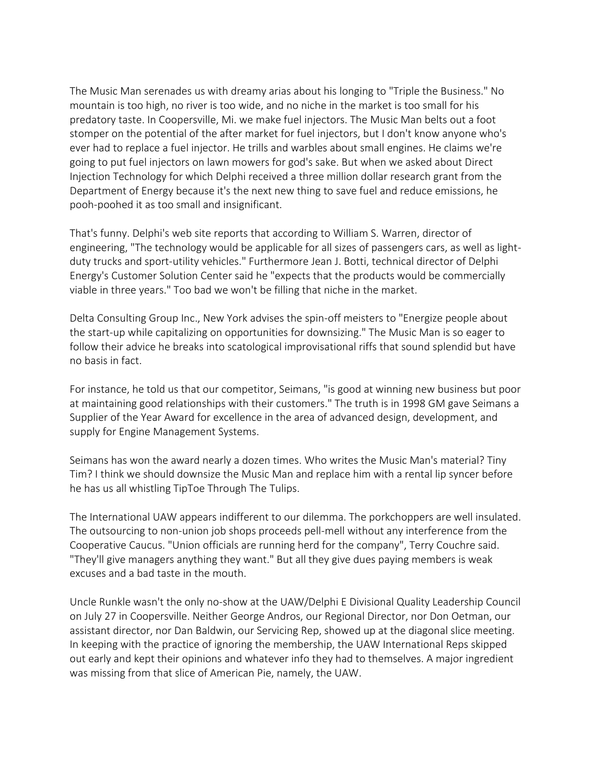The Music Man serenades us with dreamy arias about his longing to "Triple the Business." No mountain is too high, no river is too wide, and no niche in the market is too small for his predatory taste. In Coopersville, Mi. we make fuel injectors. The Music Man belts out a foot stomper on the potential of the after market for fuel injectors, but I don't know anyone who's ever had to replace a fuel injector. He trills and warbles about small engines. He claims we're going to put fuel injectors on lawn mowers for god's sake. But when we asked about Direct Injection Technology for which Delphi received a three million dollar research grant from the Department of Energy because it's the next new thing to save fuel and reduce emissions, he pooh-poohed it as too small and insignificant.

That's funny. Delphi's web site reports that according to William S. Warren, director of engineering, "The technology would be applicable for all sizes of passengers cars, as well as lightduty trucks and sport-utility vehicles." Furthermore Jean J. Botti, technical director of Delphi Energy's Customer Solution Center said he "expects that the products would be commercially viable in three years." Too bad we won't be filling that niche in the market.

Delta Consulting Group Inc., New York advises the spin-off meisters to "Energize people about the start-up while capitalizing on opportunities for downsizing." The Music Man is so eager to follow their advice he breaks into scatological improvisational riffs that sound splendid but have no basis in fact.

For instance, he told us that our competitor, Seimans, "is good at winning new business but poor at maintaining good relationships with their customers." The truth is in 1998 GM gave Seimans a Supplier of the Year Award for excellence in the area of advanced design, development, and supply for Engine Management Systems.

Seimans has won the award nearly a dozen times. Who writes the Music Man's material? Tiny Tim? I think we should downsize the Music Man and replace him with a rental lip syncer before he has us all whistling TipToe Through The Tulips.

The International UAW appears indifferent to our dilemma. The porkchoppers are well insulated. The outsourcing to non-union job shops proceeds pell-mell without any interference from the Cooperative Caucus. "Union officials are running herd for the company", Terry Couchre said. "They'll give managers anything they want." But all they give dues paying members is weak excuses and a bad taste in the mouth.

Uncle Runkle wasn't the only no-show at the UAW/Delphi E Divisional Quality Leadership Council on July 27 in Coopersville. Neither George Andros, our Regional Director, nor Don Oetman, our assistant director, nor Dan Baldwin, our Servicing Rep, showed up at the diagonal slice meeting. In keeping with the practice of ignoring the membership, the UAW International Reps skipped out early and kept their opinions and whatever info they had to themselves. A major ingredient was missing from that slice of American Pie, namely, the UAW.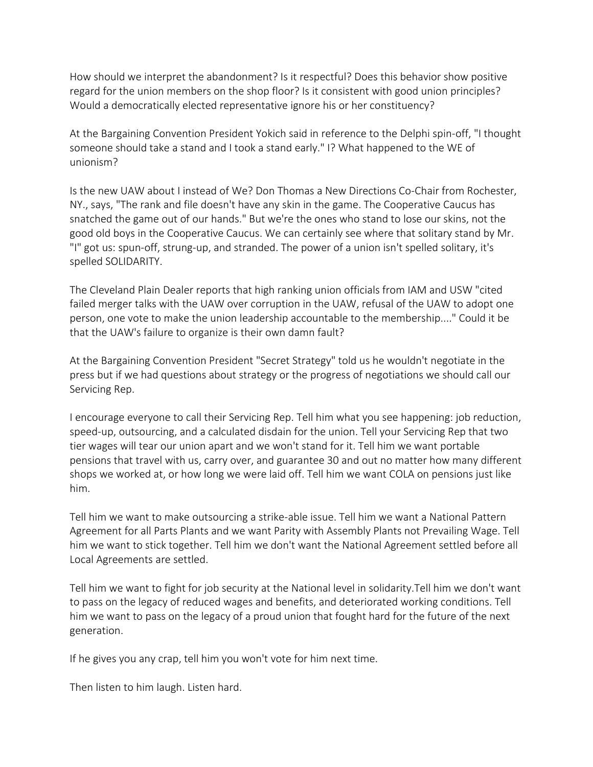How should we interpret the abandonment? Is it respectful? Does this behavior show positive regard for the union members on the shop floor? Is it consistent with good union principles? Would a democratically elected representative ignore his or her constituency?

At the Bargaining Convention President Yokich said in reference to the Delphi spin-off, "I thought someone should take a stand and I took a stand early." I? What happened to the WE of unionism?

Is the new UAW about I instead of We? Don Thomas a New Directions Co-Chair from Rochester, NY., says, "The rank and file doesn't have any skin in the game. The Cooperative Caucus has snatched the game out of our hands." But we're the ones who stand to lose our skins, not the good old boys in the Cooperative Caucus. We can certainly see where that solitary stand by Mr. "I" got us: spun-off, strung-up, and stranded. The power of a union isn't spelled solitary, it's spelled SOLIDARITY.

The Cleveland Plain Dealer reports that high ranking union officials from IAM and USW "cited failed merger talks with the UAW over corruption in the UAW, refusal of the UAW to adopt one person, one vote to make the union leadership accountable to the membership...." Could it be that the UAW's failure to organize is their own damn fault?

At the Bargaining Convention President "Secret Strategy" told us he wouldn't negotiate in the press but if we had questions about strategy or the progress of negotiations we should call our Servicing Rep.

I encourage everyone to call their Servicing Rep. Tell him what you see happening: job reduction, speed-up, outsourcing, and a calculated disdain for the union. Tell your Servicing Rep that two tier wages will tear our union apart and we won't stand for it. Tell him we want portable pensions that travel with us, carry over, and guarantee 30 and out no matter how many different shops we worked at, or how long we were laid off. Tell him we want COLA on pensions just like him.

Tell him we want to make outsourcing a strike-able issue. Tell him we want a National Pattern Agreement for all Parts Plants and we want Parity with Assembly Plants not Prevailing Wage. Tell him we want to stick together. Tell him we don't want the National Agreement settled before all Local Agreements are settled.

Tell him we want to fight for job security at the National level in solidarity.Tell him we don't want to pass on the legacy of reduced wages and benefits, and deteriorated working conditions. Tell him we want to pass on the legacy of a proud union that fought hard for the future of the next generation.

If he gives you any crap, tell him you won't vote for him next time.

Then listen to him laugh. Listen hard.